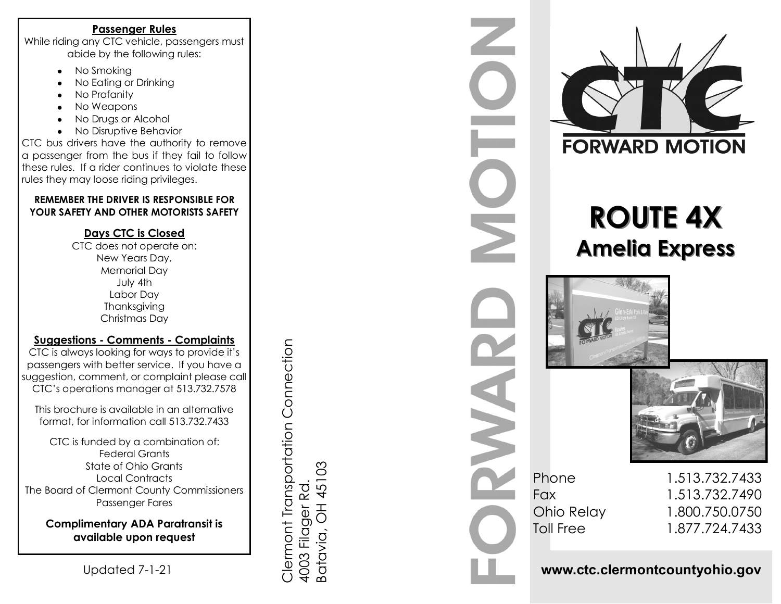### **Passenger Rules**

While riding any CTC vehicle, passengers must abide by the following rules:

- No Smoking  $\bullet$
- No Eating or Drinking  $\bullet$
- No Profanity
- No Weapons  $\bullet$
- No Drugs or Alcohol  $\bullet$
- No Disruptive Behavior  $\bullet$

CTC bus drivers have the authority to remove a passenger from the bus if they fail to follow these rules. If a rider continues to violate these rules they may loose riding privileges.

### **REMEMBER THE DRIVER IS RESPONSIBLE FOR YOUR SAFETY AND OTHER MOTORISTS SAFETY**

## **Days CTC is Closed**

CTC does not operate on: New Years Day, Memorial Day July 4th Labor Day Thanksgiving Christmas Day

# **Suggestions - Comments - Complaints**

CTC is always looking for ways to provide it's passengers with better service. If you have a suggestion, comment, or complaint please call CTC's operations manager at 513.732.7578

This brochure is available in an alternative format, for information call 513.732.7433

CTC is funded by a combination of: Federal Grants State of Ohio Grants Local Contracts The Board of Clermont County Commissioners Passenger Fares

**Complimentary ADA Paratransit is available upon request** 

Clermont Transportation Connection 4003 Filager Rd. Batavia, OH 45103